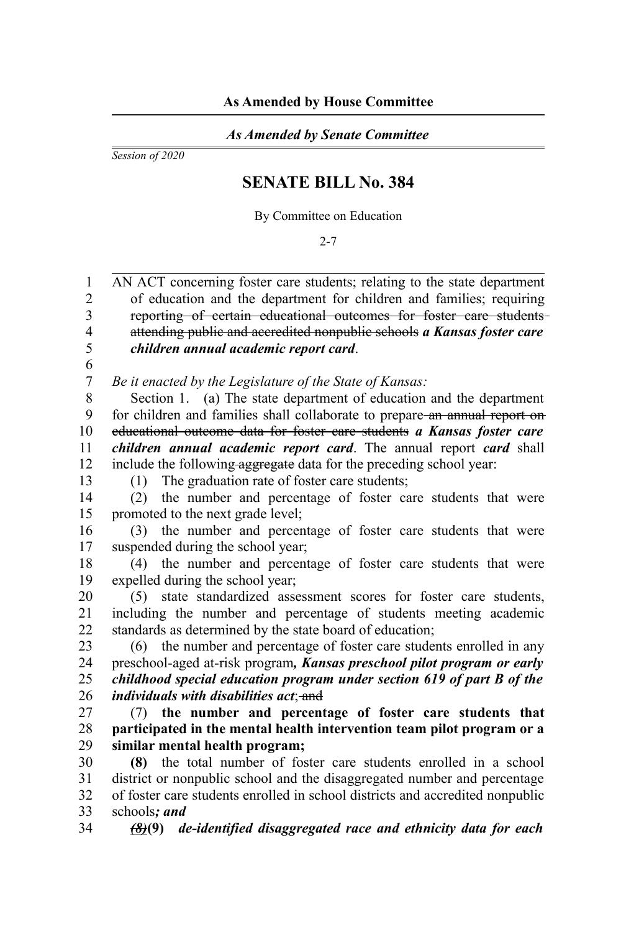## *As Amended by Senate Committee*

*Session of 2020*

## **SENATE BILL No. 384**

By Committee on Education

2-7

AN ACT concerning foster care students; relating to the state department of education and the department for children and families; requiring reporting of certain educational outcomes for foster care students attending public and accredited nonpublic schools *a Kansas foster care children annual academic report card*. 1  $\mathfrak{D}$ 3 4 5

6 7

*Be it enacted by the Legislature of the State of Kansas:*

Section 1. (a) The state department of education and the department for children and families shall collaborate to prepare-an annual report on educational outcome data for foster care students *a Kansas foster care children annual academic report card*. The annual report *card* shall include the following aggregate data for the preceding school year: 8 9 10 11 12

13

(1) The graduation rate of foster care students;

(2) the number and percentage of foster care students that were promoted to the next grade level; 14 15

(3) the number and percentage of foster care students that were suspended during the school year; 16 17

(4) the number and percentage of foster care students that were expelled during the school year; 18 19

(5) state standardized assessment scores for foster care students, including the number and percentage of students meeting academic standards as determined by the state board of education; 20 21 22

(6) the number and percentage of foster care students enrolled in any preschool-aged at-risk program*, Kansas preschool pilot program or early childhood special education program under section 619 of part B of the individuals with disabilities act*: and 23 24 25 26

(7) **the number and percentage of foster care students that participated in the mental health intervention team pilot program or a similar mental health program;** 27 28 29

**(8)** the total number of foster care students enrolled in a school district or nonpublic school and the disaggregated number and percentage of foster care students enrolled in school districts and accredited nonpublic schools*; and* 30 31 32 33

*(8)***(9)** *de-identified disaggregated race and ethnicity data for each* 34